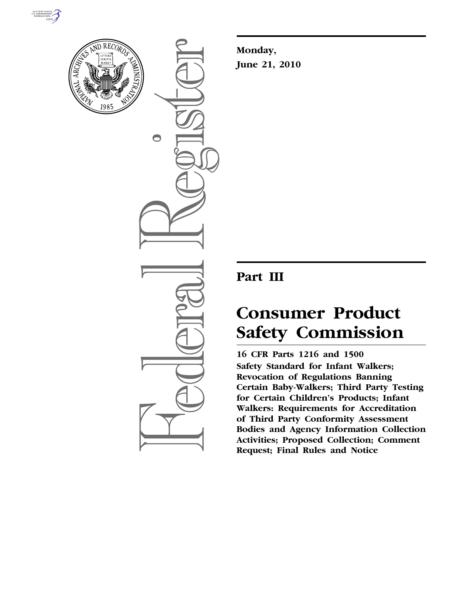



 $\bigcirc$ 

**Monday, June 21, 2010** 

# **Part III**

# **Consumer Product Safety Commission**

**16 CFR Parts 1216 and 1500 Safety Standard for Infant Walkers; Revocation of Regulations Banning Certain Baby-Walkers; Third Party Testing for Certain Children's Products; Infant Walkers: Requirements for Accreditation of Third Party Conformity Assessment Bodies and Agency Information Collection Activities; Proposed Collection; Comment Request; Final Rules and Notice**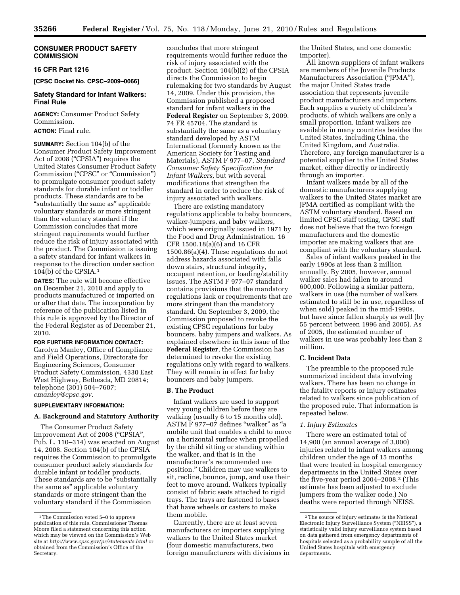# **CONSUMER PRODUCT SAFETY COMMISSION**

# **16 CFR Part 1216**

**[CPSC Docket No. CPSC–2009–0066]** 

# **Safety Standard for Infant Walkers: Final Rule**

**AGENCY:** Consumer Product Safety Commission.

# **ACTION:** Final rule.

**SUMMARY:** Section 104(b) of the Consumer Product Safety Improvement Act of 2008 (''CPSIA'') requires the United States Consumer Product Safety Commission (''CPSC'' or ''Commission'') to promulgate consumer product safety standards for durable infant or toddler products. These standards are to be ''substantially the same as'' applicable voluntary standards or more stringent than the voluntary standard if the Commission concludes that more stringent requirements would further reduce the risk of injury associated with the product. The Commission is issuing a safety standard for infant walkers in response to the direction under section 104(b) of the CPSIA.1

**DATES:** The rule will become effective on December 21, 2010 and apply to products manufactured or imported on or after that date. The incorporation by reference of the publication listed in this rule is approved by the Director of the Federal Register as of December 21, 2010.

# **FOR FURTHER INFORMATION CONTACT:**

Carolyn Manley, Office of Compliance and Field Operations, Directorate for Engineering Sciences, Consumer Product Safety Commission, 4330 East West Highway, Bethesda, MD 20814; telephone (301) 504–7607; *cmanley@cpsc.gov.* 

# **SUPPLEMENTARY INFORMATION:**

#### **A. Background and Statutory Authority**

The Consumer Product Safety Improvement Act of 2008 (''CPSIA'', Pub. L. 110–314) was enacted on August 14, 2008. Section 104(b) of the CPSIA requires the Commission to promulgate consumer product safety standards for durable infant or toddler products. These standards are to be ''substantially the same as'' applicable voluntary standards or more stringent than the voluntary standard if the Commission

concludes that more stringent requirements would further reduce the risk of injury associated with the product. Section 104(b)(2) of the CPSIA directs the Commission to begin rulemaking for two standards by August 14, 2009. Under this provision, the Commission published a proposed standard for infant walkers in the **Federal Register** on September 3, 2009. 74 FR 45704. The standard is substantially the same as a voluntary standard developed by ASTM International (formerly known as the American Society for Testing and Materials), ASTM F 977–07, *Standard Consumer Safety Specification for Infant Walkers,* but with several modifications that strengthen the standard in order to reduce the risk of injury associated with walkers.

There are existing mandatory regulations applicable to baby bouncers, walker-jumpers, and baby walkers, which were originally issued in 1971 by the Food and Drug Administration. 16 CFR 1500.18(a)(6) and 16 CFR 1500.86(a)(4). These regulations do not address hazards associated with falls down stairs, structural integrity, occupant retention, or loading/stability issues. The ASTM F 977–07 standard contains provisions that the mandatory regulations lack or requirements that are more stringent than the mandatory standard. On September 3, 2009, the Commission proposed to revoke the existing CPSC regulations for baby bouncers, baby jumpers and walkers. As explained elsewhere in this issue of the **Federal Register**, the Commission has determined to revoke the existing regulations only with regard to walkers. They will remain in effect for baby bouncers and baby jumpers.

#### **B. The Product**

Infant walkers are used to support very young children before they are walking (usually 6 to 15 months old). ASTM F 977-07 defines "walker" as "a mobile unit that enables a child to move on a horizontal surface when propelled by the child sitting or standing within the walker, and that is in the manufacturer's recommended use position.'' Children may use walkers to sit, recline, bounce, jump, and use their feet to move around. Walkers typically consist of fabric seats attached to rigid trays. The trays are fastened to bases that have wheels or casters to make them mobile.

Currently, there are at least seven manufacturers or importers supplying walkers to the United States market (four domestic manufacturers, two foreign manufacturers with divisions in the United States, and one domestic importer).

All known suppliers of infant walkers are members of the Juvenile Products Manufacturers Association (''JPMA''), the major United States trade association that represents juvenile product manufacturers and importers. Each supplies a variety of children's products, of which walkers are only a small proportion. Infant walkers are available in many countries besides the United States, including China, the United Kingdom, and Australia. Therefore, any foreign manufacturer is a potential supplier to the United States market, either directly or indirectly through an importer.

Infant walkers made by all of the domestic manufacturers supplying walkers to the United States market are JPMA certified as compliant with the ASTM voluntary standard. Based on limited CPSC staff testing, CPSC staff does not believe that the two foreign manufacturers and the domestic importer are making walkers that are compliant with the voluntary standard.

Sales of infant walkers peaked in the early 1990s at less than 2 million annually. By 2005, however, annual walker sales had fallen to around 600,000. Following a similar pattern, walkers in use (the number of walkers estimated to still be in use, regardless of when sold) peaked in the mid-1990s, but have since fallen sharply as well (by 55 percent between 1996 and 2005). As of 2005, the estimated number of walkers in use was probably less than 2 million.

# **C. Incident Data**

The preamble to the proposed rule summarized incident data involving walkers. There has been no change in the fatality reports or injury estimates related to walkers since publication of the proposed rule. That information is repeated below.

#### *1. Injury Estimates*

There were an estimated total of 14,900 (an annual average of 3,000) injuries related to infant walkers among children under the age of 15 months that were treated in hospital emergency departments in the United States over the five-year period 2004–2008.<sup>2</sup> (This estimate has been adjusted to exclude jumpers from the walker code.) No deaths were reported through NEISS.

<sup>1</sup>The Commission voted 5–0 to approve publication of this rule. Commissioner Thomas Moore filed a statement concerning this action which may be viewed on the Commission's Web site at *http://www.cpsc.gov/pr/statements.html* or obtained from the Commission's Office of the Secretary.

<sup>2</sup>The source of injury estimates is the National Electronic Injury Surveillance System (''NEISS''), a statistically valid injury surveillance system based on data gathered from emergency departments of hospitals selected as a probability sample of all the United States hospitals with emergency departments.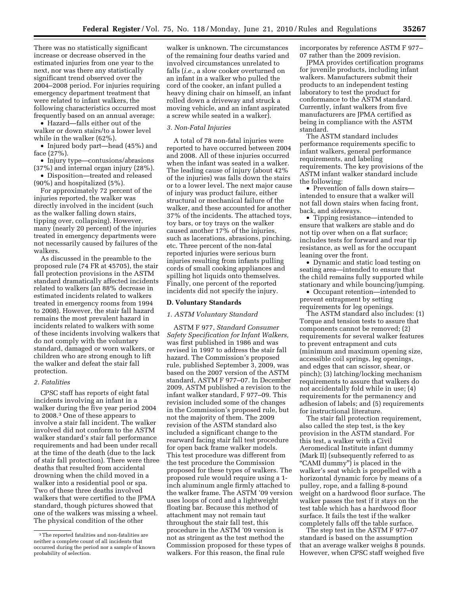There was no statistically significant increase or decrease observed in the estimated injuries from one year to the next, nor was there any statistically significant trend observed over the 2004–2008 period. For injuries requiring emergency department treatment that were related to infant walkers, the following characteristics occurred most frequently based on an annual average:

• Hazard—falls either out of the walker or down stairs/to a lower level while in the walker (62%).

• Injured body part—head (45%) and face (27%).

• Injury type—contusions/abrasions (37%) and internal organ injury (28%).

• Disposition—treated and released (90%) and hospitalized (5%).

For approximately 72 percent of the injuries reported, the walker was directly involved in the incident (such as the walker falling down stairs, tipping over, collapsing). However, many (nearly 20 percent) of the injuries treated in emergency departments were not necessarily caused by failures of the walkers.

As discussed in the preamble to the proposed rule (74 FR at 45705), the stair fall protection provisions in the ASTM standard dramatically affected incidents related to walkers (an 88% decrease in estimated incidents related to walkers treated in emergency rooms from 1994 to 2008). However, the stair fall hazard remains the most prevalent hazard in incidents related to walkers with some of these incidents involving walkers that do not comply with the voluntary standard, damaged or worn walkers, or children who are strong enough to lift the walker and defeat the stair fall protection.

#### *2. Fatalities*

CPSC staff has reports of eight fatal incidents involving an infant in a walker during the five year period 2004 to 2008.3 One of these appears to involve a stair fall incident. The walker involved did not conform to the ASTM walker standard's stair fall performance requirements and had been under recall at the time of the death (due to the lack of stair fall protection). There were three deaths that resulted from accidental drowning when the child moved in a walker into a residential pool or spa. Two of these three deaths involved walkers that were certified to the JPMA standard, though pictures showed that one of the walkers was missing a wheel. The physical condition of the other

walker is unknown. The circumstances of the remaining four deaths varied and involved circumstances unrelated to falls (*i.e.,* a slow cooker overturned on an infant in a walker who pulled the cord of the cooker, an infant pulled a heavy dining chair on himself, an infant rolled down a driveway and struck a moving vehicle, and an infant aspirated a screw while seated in a walker).

#### *3. Non-Fatal Injuries*

A total of 78 non-fatal injuries were reported to have occurred between 2004 and 2008. All of these injuries occurred when the infant was seated in a walker. The leading cause of injury (about 42% of the injuries) was falls down the stairs or to a lower level. The next major cause of injury was product failure, either structural or mechanical failure of the walker, and these accounted for another 37% of the incidents. The attached toys, toy bars, or toy trays on the walker caused another 17% of the injuries, such as lacerations, abrasions, pinching, etc. Three percent of the non-fatal reported injuries were serious burn injuries resulting from infants pulling cords of small cooking appliances and spilling hot liquids onto themselves. Finally, one percent of the reported incidents did not specify the injury.

#### **D. Voluntary Standards**

#### *1. ASTM Voluntary Standard*

ASTM F 977, *Standard Consumer Safety Specification for Infant Walkers,*  was first published in 1986 and was revised in 1997 to address the stair fall hazard. The Commission's proposed rule, published September 3, 2009, was based on the 2007 version of the ASTM standard, ASTM F 977–07. In December 2009, ASTM published a revision to the infant walker standard, F 977–09. This revision included some of the changes in the Commission's proposed rule, but not the majority of them. The 2009 revision of the ASTM standard also included a significant change to the rearward facing stair fall test procedure for open back frame walker models. This test procedure was different from the test procedure the Commission proposed for these types of walkers. The proposed rule would require using a 1 inch aluminum angle firmly attached to the walker frame. The ASTM '09 version uses loops of cord and a lightweight floating bar. Because this method of attachment may not remain taut throughout the stair fall test, this procedure in the ASTM '09 version is not as stringent as the test method the Commission proposed for these types of walkers. For this reason, the final rule

incorporates by reference ASTM F 977– 07 rather than the 2009 revision.

JPMA provides certification programs for juvenile products, including infant walkers. Manufacturers submit their products to an independent testing laboratory to test the product for conformance to the ASTM standard. Currently, infant walkers from five manufacturers are JPMA certified as being in compliance with the ASTM standard.

The ASTM standard includes performance requirements specific to infant walkers, general performance requirements, and labeling requirements. The key provisions of the ASTM infant walker standard include the following:

• Prevention of falls down stairs intended to ensure that a walker will not fall down stairs when facing front, back, and sideways.

• Tipping resistance—intended to ensure that walkers are stable and do not tip over when on a flat surface; includes tests for forward and rear tip resistance, as well as for the occupant leaning over the front.

• Dynamic and static load testing on seating area—intended to ensure that the child remains fully supported while stationary and while bouncing/jumping.

• Occupant retention—intended to prevent entrapment by setting requirements for leg openings.

The ASTM standard also includes: (1) Torque and tension tests to assure that components cannot be removed; (2) requirements for several walker features to prevent entrapment and cuts (minimum and maximum opening size, accessible coil springs, leg openings, and edges that can scissor, shear, or pinch); (3) latching/locking mechanism requirements to assure that walkers do not accidentally fold while in use; (4) requirements for the permanency and adhesion of labels; and (5) requirements for instructional literature.

The stair fall protection requirement, also called the step test, is the key provision in the ASTM standard. For this test, a walker with a Civil Aeromedical Institute infant dummy (Mark II) (subsequently referred to as "CAMI dummy") is placed in the walker's seat which is propelled with a horizontal dynamic force by means of a pulley, rope, and a falling 8-pound weight on a hardwood floor surface. The walker passes the test if it stays on the test table which has a hardwood floor surface. It fails the test if the walker completely falls off the table surface.

The step test in the ASTM F 977–07 standard is based on the assumption that an average walker weighs 8 pounds. However, when CPSC staff weighed five

<sup>3</sup>The reported fatalities and non-fatalities are neither a complete count of all incidents that occurred during the period nor a sample of known probability of selection.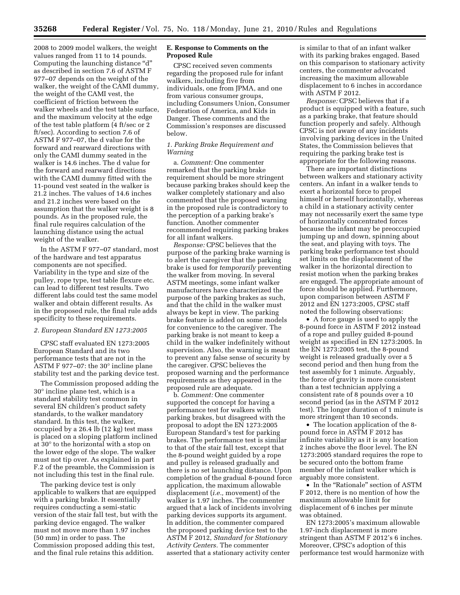2008 to 2009 model walkers, the weight values ranged from 11 to 14 pounds. Computing the launching distance ''d'' as described in section 7.6 of ASTM F 977–07 depends on the weight of the walker, the weight of the CAMI dummy, the weight of the CAMI vest, the coefficient of friction between the walker wheels and the test table surface, and the maximum velocity at the edge of the test table platform (4 ft/sec or 2 ft/sec). According to section 7.6 of ASTM F 977–07, the d value for the forward and rearward directions with only the CAMI dummy seated in the walker is 14.6 inches. The d value for the forward and rearward directions with the CAMI dummy fitted with the 11-pound vest seated in the walker is 21.2 inches. The values of 14.6 inches and 21.2 inches were based on the assumption that the walker weight is 8 pounds. As in the proposed rule, the final rule requires calculation of the launching distance using the actual weight of the walker.

In the ASTM F 977–07 standard, most of the hardware and test apparatus components are not specified. Variability in the type and size of the pulley, rope type, test table flexure etc. can lead to different test results. Two different labs could test the same model walker and obtain different results. As in the proposed rule, the final rule adds specificity to these requirements.

#### *2. European Standard EN 1273:2005*

CPSC staff evaluated EN 1273:2005 European Standard and its two performance tests that are not in the ASTM F 977–07: the 30° incline plane stability test and the parking device test.

The Commission proposed adding the 30° incline plane test, which is a standard stability test common in several EN children's product safety standards, to the walker mandatory standard. In this test, the walker, occupied by a 26.4 lb (12 kg) test mass is placed on a sloping platform inclined at 30° to the horizontal with a stop on the lower edge of the slope. The walker must not tip over. As explained in part F.2 of the preamble, the Commission is not including this test in the final rule.

The parking device test is only applicable to walkers that are equipped with a parking brake. It essentially requires conducting a semi-static version of the stair fall test, but with the parking device engaged. The walker must not move more than 1.97 inches (50 mm) in order to pass. The Commission proposed adding this test, and the final rule retains this addition.

# **E. Response to Comments on the Proposed Rule**

CPSC received seven comments regarding the proposed rule for infant walkers, including five from individuals, one from JPMA, and one from various consumer groups, including Consumers Union, Consumer Federation of America, and Kids in Danger. These comments and the Commission's responses are discussed below.

# *1. Parking Brake Requirement and Warning*

a. *Comment:* One commenter remarked that the parking brake requirement should be more stringent because parking brakes should keep the walker completely stationary and also commented that the proposed warning in the proposed rule is contradictory to the perception of a parking brake's function. Another commenter recommended requiring parking brakes for all infant walkers.

*Response:* CPSC believes that the purpose of the parking brake warning is to alert the caregiver that the parking brake is used for *temporarily* preventing the walker from moving. In several ASTM meetings, some infant walker manufacturers have characterized the purpose of the parking brakes as such, and that the child in the walker must always be kept in view. The parking brake feature is added on some models for convenience to the caregiver. The parking brake is not meant to keep a child in the walker indefinitely without supervision. Also, the warning is meant to prevent any false sense of security by the caregiver. CPSC believes the proposed warning and the performance requirements as they appeared in the proposed rule are adequate.

b. *Comment:* One commenter supported the concept for having a performance test for walkers with parking brakes, but disagreed with the proposal to adopt the EN 1273:2005 European Standard's test for parking brakes. The performance test is similar to that of the stair fall test, except that the 8-pound weight guided by a rope and pulley is released gradually and there is no set launching distance. Upon completion of the gradual 8-pound force application, the maximum allowable displacement (*i.e.,* movement) of the walker is 1.97 inches. The commenter argued that a lack of incidents involving parking devices supports its argument. In addition, the commenter compared the proposed parking device test to the ASTM F 2012, *Standard for Stationary Activity Centers.* The commenter asserted that a stationary activity center

is similar to that of an infant walker with its parking brakes engaged. Based on this comparison to stationary activity centers, the commenter advocated increasing the maximum allowable displacement to 6 inches in accordance with ASTM F 2012.

*Response:* CPSC believes that if a product is equipped with a feature, such as a parking brake, that feature should function properly and safely. Although CPSC is not aware of any incidents involving parking devices in the United States, the Commission believes that requiring the parking brake test is appropriate for the following reasons.

There are important distinctions between walkers and stationary activity centers. An infant in a walker tends to exert a horizontal force to propel himself or herself horizontally, whereas a child in a stationary activity center may not necessarily exert the same type of horizontally concentrated forces because the infant may be preoccupied jumping up and down, spinning about the seat, and playing with toys. The parking brake performance test should set limits on the displacement of the walker in the horizontal direction to resist motion when the parking brakes are engaged. The appropriate amount of force should be applied. Furthermore, upon comparison between ASTM F 2012 and EN 1273:2005, CPSC staff noted the following observations:

• A force gauge is used to apply the 8-pound force in ASTM F 2012 instead of a rope and pulley guided 8-pound weight as specified in EN 1273:2005. In the EN 1273:2005 test, the 8-pound weight is released gradually over a 5 second period and then hung from the test assembly for 1 minute. Arguably, the force of gravity is more consistent than a test technician applying a consistent rate of 8 pounds over a 10 second period (as in the ASTM F 2012 test). The longer duration of 1 minute is more stringent than 10 seconds.

• The location application of the 8 pound force in ASTM F 2012 has infinite variability as it is any location 2 inches above the floor level. The EN 1273:2005 standard requires the rope to be secured onto the bottom frame member of the infant walker which is arguably more consistent.

• In the "Rationale" section of ASTM F 2012, there is no mention of how the maximum allowable limit for displacement of 6 inches per minute was obtained.

EN 1273:2005's maximum allowable 1.97-inch displacement is more stringent than ASTM F 2012's 6 inches. Moreover, CPSC's adoption of this performance test would harmonize with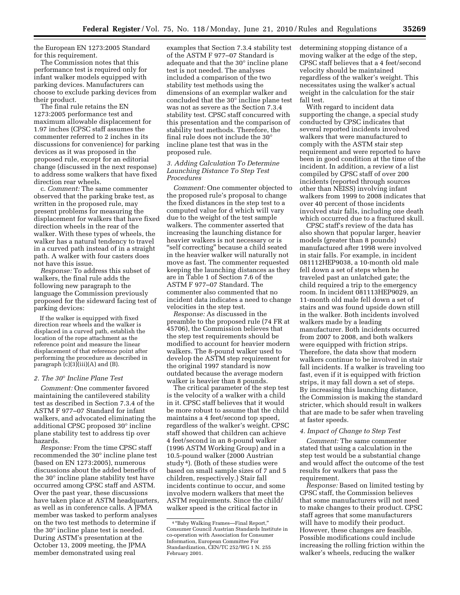the European EN 1273:2005 Standard for this requirement.

The Commission notes that this performance test is required only for infant walker models equipped with parking devices. Manufacturers can choose to exclude parking devices from their product.

The final rule retains the EN 1273:2005 performance test and maximum allowable displacement for 1.97 inches (CPSC staff assumes the commenter referred to 2 inches in its discussions for convenience) for parking devices as it was proposed in the proposed rule, except for an editorial change (discussed in the next response) to address some walkers that have fixed direction rear wheels.

c. *Comment:* The same commenter observed that the parking brake test, as written in the proposed rule, may present problems for measuring the displacement for walkers that have fixed direction wheels in the rear of the walker. With these types of wheels, the walker has a natural tendency to travel in a curved path instead of in a straight path. A walker with four casters does not have this issue.

*Response:* To address this subset of walkers, the final rule adds the following new paragraph to the language the Commission previously proposed for the sideward facing test of parking devices:

If the walker is equipped with fixed direction rear wheels and the walker is displaced in a curved path, establish the location of the rope attachment as the reference point and measure the linear displacement of that reference point after performing the procedure as described in paragraph  $(c)(3)(iii)(A)$  and  $(B)$ .

# *2. The 30*° *Incline Plane Test*

*Comment:* One commenter favored maintaining the cantilevered stability test as described in Section 7.3.4 of the ASTM F 977–07 Standard for infant walkers, and advocated eliminating the additional CPSC proposed 30° incline plane stability test to address tip over hazards.

*Response:* From the time CPSC staff recommended the 30° incline plane test (based on EN 1273:2005), numerous discussions about the added benefits of the 30° incline plane stability test have occurred among CPSC staff and ASTM. Over the past year, these discussions have taken place at ASTM headquarters, as well as in conference calls. A JPMA member was tasked to perform analyses on the two test methods to determine if the 30° incline plane test is needed. During ASTM's presentation at the October 13, 2009 meeting, the JPMA member demonstrated using real

examples that Section 7.3.4 stability test of the ASTM F 977–07 Standard is adequate and that the 30° incline plane test is not needed. The analyses included a comparison of the two stability test methods using the dimensions of an exemplar walker and concluded that the 30° incline plane test was not as severe as the Section 7.3.4 stability test. CPSC staff concurred with this presentation and the comparison of stability test methods. Therefore, the final rule does not include the 30° incline plane test that was in the proposed rule.

#### *3. Adding Calculation To Determine Launching Distance To Step Test Procedures*

*Comment:* One commenter objected to the proposed rule's proposal to change the fixed distances in the step test to a computed value for d which will vary due to the weight of the test sample walkers. The commenter asserted that increasing the launching distance for heavier walkers is not necessary or is ''self correcting'' because a child seated in the heavier walker will naturally not move as fast. The commenter requested keeping the launching distances as they are in Table 1 of Section 7.6 of the ASTM F 977–07 Standard. The commenter also commented that no incident data indicates a need to change velocities in the step test.

*Response:* As discussed in the preamble to the proposed rule (74 FR at 45706), the Commission believes that the step test requirements should be modified to account for heavier modern walkers. The 8-pound walker used to develop the ASTM step requirement for the original 1997 standard is now outdated because the average modern walker is heavier than 8 pounds.

The critical parameter of the step test is the velocity of a walker with a child in it. CPSC staff believes that it would be more robust to assume that the child maintains a 4 feet/second top speed, regardless of the walker's weight. CPSC staff showed that children can achieve 4 feet/second in an 8-pound walker (1996 ASTM Working Group) and in a 10.5-pound walker (2000 Austrian study 4). (Both of these studies were based on small sample sizes of 7 and 5 children, respectively.) Stair fall incidents continue to occur, and some involve modern walkers that meet the ASTM requirements. Since the child/ walker speed is the critical factor in

determining stopping distance of a moving walker at the edge of the step, CPSC staff believes that a 4 feet/second velocity should be maintained regardless of the walker's weight. This necessitates using the walker's actual weight in the calculation for the stair fall test.

With regard to incident data supporting the change, a special study conducted by CPSC indicates that several reported incidents involved walkers that were manufactured to comply with the ASTM stair step requirement and were reported to have been in good condition at the time of the incident. In addition, a review of a list compiled by CPSC staff of over 200 incidents (reported through sources other than NEISS) involving infant walkers from 1999 to 2008 indicates that over 40 percent of those incidents involved stair falls, including one death which occurred due to a fractured skull.

CPSC staff's review of the data has also shown that popular larger, heavier models (greater than 8 pounds) manufactured after 1998 were involved in stair falls. For example, in incident 081112HEP9038, a 10-month old male fell down a set of steps when he traveled past an unlatched gate; the child required a trip to the emergency room. In incident 081113HEP9029, an 11-month old male fell down a set of stairs and was found upside down still in the walker. Both incidents involved walkers made by a leading manufacturer. Both incidents occurred from 2007 to 2008, and both walkers were equipped with friction strips. Therefore, the data show that modern walkers continue to be involved in stair fall incidents. If a walker is traveling too fast, even if it is equipped with friction strips, it may fall down a set of steps. By increasing this launching distance, the Commission is making the standard stricter, which should result in walkers that are made to be safer when traveling at faster speeds.

#### *4. Impact of Change to Step Test*

*Comment:* The same commenter stated that using a calculation in the step test would be a substantial change and would affect the outcome of the test results for walkers that pass the requirement.

*Response:* Based on limited testing by CPSC staff, the Commission believes that some manufacturers will not need to make changes to their product. CPSC staff agrees that some manufacturers will have to modify their product. However, these changes are feasible. Possible modifications could include increasing the rolling friction within the walker's wheels, reducing the walker

<sup>4</sup> ''Baby Walking Frames—Final Report,'' Consumer Council Austrian Standards Institute in co-operation with Association for Consumer Information, European Committee For Standardization, CEN/TC 252/WG 1 N. 255 February 2001.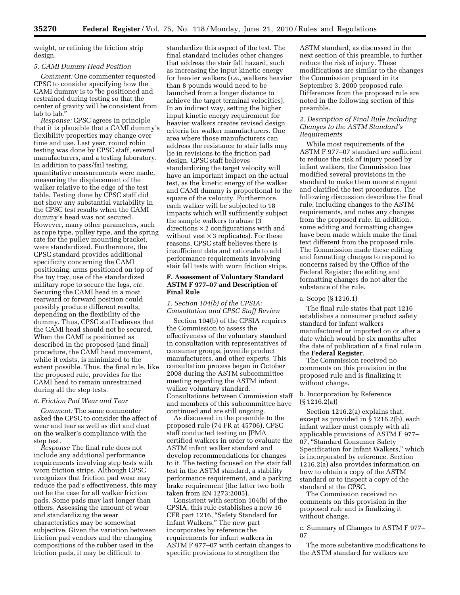weight, or refining the friction strip design.

#### *5. CAMI Dummy Head Position*

*Comment:* One commenter requested CPSC to consider specifying how the CAMI dummy is to ''be positioned and restrained during testing so that the center of gravity will be consistent from lab to lab.''

*Response:* CPSC agrees in principle that it is plausible that a CAMI dummy's flexibility properties may change over time and use. Last year, round robin testing was done by CPSC staff, several manufacturers, and a testing laboratory. In addition to pass/fail testing, quantitative measurements were made, measuring the displacement of the walker relative to the edge of the test table. Testing done by CPSC staff did not show any substantial variability in the CPSC test results when the CAMI dummy's head was not secured. However, many other parameters, such as rope type, pulley type, and the spring rate for the pulley mounting bracket, were standardized. Furthermore, the CPSC standard provides additional specificity concerning the CAMI positioning: arms positioned on top of the toy tray, use of the standardized military rope to secure the legs, *etc.*  Securing the CAMI head in a most rearward or forward position could possibly produce different results, depending on the flexibility of the dummy. Thus, CPSC staff believes that the CAMI head should not be secured. When the CAMI is positioned as described in the proposed (and final) procedure, the CAMI head movement, while it exists, is minimized to the extent possible. Thus, the final rule, like the proposed rule, provides for the CAMI head to remain unrestrained during all the step tests.

#### *6. Friction Pad Wear and Tear*

*Comment:* The same commenter asked the CPSC to consider the affect of wear and tear as well as dirt and dust on the walker's compliance with the step test.

*Response* The final rule does not include any additional performance requirements involving step tests with worn friction strips. Although CPSC recognizes that friction pad wear may reduce the pad's effectiveness, this may not be the case for all walker friction pads. Some pads may last longer than others. Assessing the amount of wear and standardizing the wear characteristics may be somewhat subjective. Given the variation between friction pad vendors and the changing compositions of the rubber used in the friction pads, it may be difficult to

standardize this aspect of the test. The final standard includes other changes that address the stair fall hazard, such as increasing the input kinetic energy for heavier walkers (*i.e.,* walkers heavier than 8 pounds would need to be launched from a longer distance to achieve the target terminal velocities). In an indirect way, setting the higher input kinetic energy requirement for heavier walkers creates revised design criteria for walker manufacturers. One area where those manufacturers can address the resistance to stair falls may lie in revisions to the friction pad design. CPSC staff believes standardizing the target velocity will have an important impact on the actual test, as the kinetic energy of the walker and CAMI dummy is proportional to the square of the velocity. Furthermore, each walker will be subjected to 18 impacts which will sufficiently subject the sample walkers to abuse (3 directions  $\times$  2 configurations with and without vest  $\times$  3 replicates). For these reasons, CPSC staff believes there is insufficient data and rationale to add performance requirements involving stair fall tests with worn friction strips.

# **F. Assessment of Voluntary Standard ASTM F 977–07 and Description of Final Rule**

*1. Section 104(b) of the CPSIA: Consultation and CPSC Staff Review* 

Section 104(b) of the CPSIA requires the Commission to assess the effectiveness of the voluntary standard in consultation with representatives of consumer groups, juvenile product manufacturers, and other experts. This consultation process began in October 2008 during the ASTM subcommittee meeting regarding the ASTM infant walker voluntary standard. Consultations between Commission staff and members of this subcommittee have continued and are still ongoing.

As discussed in the preamble to the proposed rule (74 FR at 45706), CPSC staff conducted testing on JPMA certified walkers in order to evaluate the ASTM infant walker standard and develop recommendations for changes to it. The testing focused on the stair fall test in the ASTM standard, a stability performance requirement, and a parking brake requirement (the latter two both taken from EN 1273:2005).

Consistent with section 104(b) of the CPSIA, this rule establishes a new 16 CFR part 1216, ''Safety Standard for Infant Walkers.'' The new part incorporates by reference the requirements for infant walkers in ASTM F 977–07 with certain changes to specific provisions to strengthen the

ASTM standard, as discussed in the next section of this preamble, to further reduce the risk of injury. These modifications are similar to the changes the Commission proposed in its September 3, 2009 proposed rule. Differences from the proposed rule are noted in the following section of this preamble.

# *2. Description of Final Rule Including Changes to the ASTM Standard's Requirements*

While most requirements of the ASTM F 977–07 standard are sufficient to reduce the risk of injury posed by infant walkers, the Commission has modified several provisions in the standard to make them more stringent and clarified the test procedures. The following discussion describes the final rule, including changes to the ASTM requirements, and notes any changes from the proposed rule. In addition, some editing and formatting changes have been made which make the final text different from the proposed rule. The Commission made these editing and formatting changes to respond to concerns raised by the Office of the Federal Register; the editing and formatting changes do not alter the substance of the rule.

#### a. Scope (§ 1216.1)

The final rule states that part 1216 establishes a consumer product safety standard for infant walkers manufactured or imported on or after a date which would be six months after the date of publication of a final rule in the **Federal Register**.

The Commission received no comments on this provision in the proposed rule and is finalizing it without change.

# b. Incorporation by Reference  $(S 1216.2(a))$

Section 1216.2(a) explains that, except as provided in § 1216.2(b), each infant walker must comply with all applicable provisions of ASTM F 977– 07, ''Standard Consumer Safety Specification for Infant Walkers,'' which is incorporated by reference. Section 1216.2(a) also provides information on how to obtain a copy of the ASTM standard or to inspect a copy of the standard at the CPSC.

The Commission received no comments on this provision in the proposed rule and is finalizing it without change.

c. Summary of Changes to ASTM F 977– 07

The more substantive modifications to the ASTM standard for walkers are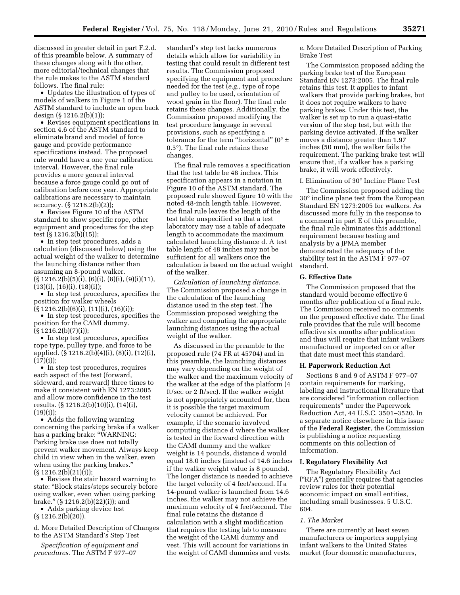discussed in greater detail in part F.2.d. of this preamble below. A summary of these changes along with the other, more editorial/technical changes that the rule makes to the ASTM standard follows. The final rule:

• Updates the illustration of types of models of walkers in Figure 1 of the ASTM standard to include an open back design (§ 1216.2(b)(1));

• Revises equipment specifications in section 4.6 of the ASTM standard to eliminate brand and model of force gauge and provide performance specifications instead. The proposed rule would have a one year calibration interval. However, the final rule provides a more general interval because a force gauge could go out of calibration before one year. Appropriate calibrations are necessary to maintain accuracy. (§ 1216.2(b)(2));

• Revises Figure 10 of the ASTM standard to show specific rope, other equipment and procedures for the step test (§ 1216.2(b)(15));

• In step test procedures, adds a calculation (discussed below) using the actual weight of the walker to determine the launching distance rather than assuming an 8-pound walker.  $(\S 1216.2(b)(5)(i), (6)(i), (8)(i), (9)(i)(11),$  $(13)(i)$ ,  $(16)(i)$ ,  $(18)(i)$ ;

• In step test procedures, specifies the position for walker wheels (§ 1216.2(b)(6)(i), (11)(i), (16)(i));

• In step test procedures, specifies the position for the CAMI dummy.  $(\S 1216.2(b)(7)(i));$ 

• In step test procedures, specifies rope type, pulley type, and force to be applied. (§ 1216.2(b)(4)(i), (8)(i), (12)(i),  $(17)(i)$ ;

• In step test procedures, requires each aspect of the test (forward, sideward, and rearward) three times to make it consistent with EN 1273:2005 and allow more confidence in the test results. (§ 1216.2(b)(10)(i), (14)(i),  $(19)(i)$ ;

• Adds the following warning concerning the parking brake if a walker has a parking brake: "WARNING: Parking brake use does not totally prevent walker movement. Always keep child in view when in the walker, even when using the parking brakes.''  $(S 1216.2(b)(21)(i));$ 

• Revises the stair hazard warning to state: ''Block stairs/steps securely before using walker, even when using parking brake.'' (§ 1216.2(b)(22)(i)); and

• Adds parking device test (§ 1216.2(b)(20)).

d. More Detailed Description of Changes to the ASTM Standard's Step Test

*Specification of equipment and procedures.* The ASTM F 977–07

standard's step test lacks numerous details which allow for variability in testing that could result in different test results. The Commission proposed specifying the equipment and procedure needed for the test (*e.g.,* type of rope and pulley to be used, orientation of wood grain in the floor). The final rule retains these changes. Additionally, the Commission proposed modifying the test procedure language in several provisions, such as specifying a tolerance for the term "horizontal" ( $0^\circ \pm$ 0.5°). The final rule retains these changes.

The final rule removes a specification that the test table be 48 inches. This specification appears in a notation in Figure 10 of the ASTM standard. The proposed rule showed figure 10 with the noted 48-inch length table. However, the final rule leaves the length of the test table unspecified so that a test laboratory may use a table of adequate length to accommodate the maximum calculated launching distance d. A test table length of 48 inches may not be sufficient for all walkers once the calculation is based on the actual weight of the walker.

*Calculation of launching distance.*  The Commission proposed a change in the calculation of the launching distance used in the step test. The Commission proposed weighing the walker and computing the appropriate launching distances using the actual weight of the walker.

As discussed in the preamble to the proposed rule (74 FR at 45704) and in this preamble, the launching distances may vary depending on the weight of the walker and the maximum velocity of the walker at the edge of the platform (4 ft/sec or 2 ft/sec). If the walker weight is not appropriately accounted for, then it is possible the target maximum velocity cannot be achieved. For example, if the scenario involved computing distance d where the walker is tested in the forward direction with the CAMI dummy and the walker weight is 14 pounds, distance d would equal 18.0 inches (instead of 14.6 inches if the walker weight value is 8 pounds). The longer distance is needed to achieve the target velocity of 4 feet/second. If a 14-pound walker is launched from 14.6 inches, the walker may not achieve the maximum velocity of 4 feet/second. The final rule retains the distance d calculation with a slight modification that requires the testing lab to measure the weight of the CAMI dummy and vest. This will account for variations in the weight of CAMI dummies and vests.

e. More Detailed Description of Parking Brake Test

The Commission proposed adding the parking brake test of the European Standard EN 1273:2005. The final rule retains this test. It applies to infant walkers that provide parking brakes, but it does not require walkers to have parking brakes. Under this test, the walker is set up to run a quasi-static version of the step test, but with the parking device activated. If the walker moves a distance greater than 1.97 inches (50 mm), the walker fails the requirement. The parking brake test will ensure that, if a walker has a parking brake, it will work effectively.

f. Elimination of 30° Incline Plane Test

The Commission proposed adding the 30° incline plane test from the European Standard EN 1273:2005 for walkers. As discussed more fully in the response to a comment in part E of this preamble, the final rule eliminates this additional requirement because testing and analysis by a JPMA member demonstrated the adequacy of the stability test in the ASTM F 977–07 standard.

#### **G. Effective Date**

The Commission proposed that the standard would become effective 6 months after publication of a final rule. The Commission received no comments on the proposed effective date. The final rule provides that the rule will become effective six months after publication and thus will require that infant walkers manufactured or imported on or after that date must meet this standard.

#### **H. Paperwork Reduction Act**

Sections 8 and 9 of ASTM F 977–07 contain requirements for marking, labeling and instructional literature that are considered ''information collection requirements'' under the Paperwork Reduction Act, 44 U.S.C. 3501–3520. In a separate notice elsewhere in this issue of the **Federal Register**, the Commission is publishing a notice requesting comments on this collection of information.

# **I. Regulatory Flexibility Act**

The Regulatory Flexibility Act (''RFA'') generally requires that agencies review rules for their potential economic impact on small entities, including small businesses. 5 U.S.C. 604.

#### *1. The Market*

There are currently at least seven manufacturers or importers supplying infant walkers to the United States market (four domestic manufacturers,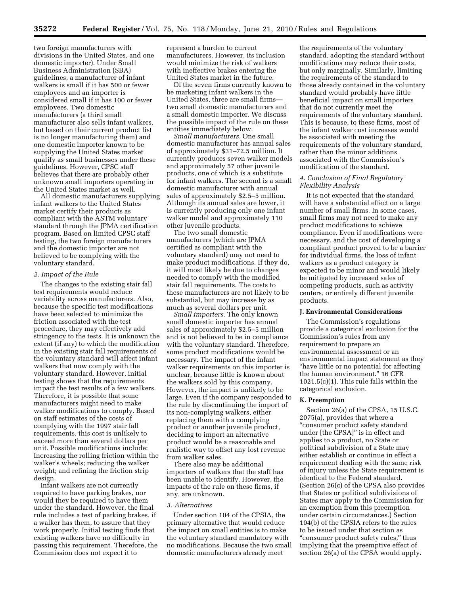two foreign manufacturers with divisions in the United States, and one domestic importer). Under Small Business Administration (SBA) guidelines, a manufacturer of infant walkers is small if it has 500 or fewer employees and an importer is considered small if it has 100 or fewer employees. Two domestic manufacturers (a third small manufacturer also sells infant walkers, but based on their current product list is no longer manufacturing them) and one domestic importer known to be supplying the United States market qualify as small businesses under these guidelines. However, CPSC staff believes that there are probably other unknown small importers operating in the United States market as well.

All domestic manufacturers supplying infant walkers to the United States market certify their products as compliant with the ASTM voluntary standard through the JPMA certification program. Based on limited CPSC staff testing, the two foreign manufacturers and the domestic importer are not believed to be complying with the voluntary standard.

#### *2. Impact of the Rule*

The changes to the existing stair fall test requirements would reduce variability across manufacturers. Also, because the specific test modifications have been selected to minimize the friction associated with the test procedure, they may effectively add stringency to the tests. It is unknown the extent (if any) to which the modification in the existing stair fall requirements of the voluntary standard will affect infant walkers that now comply with the voluntary standard. However, initial testing shows that the requirements impact the test results of a few walkers. Therefore, it is possible that some manufacturers might need to make walker modifications to comply. Based on staff estimates of the costs of complying with the 1997 stair fall requirements, this cost is unlikely to exceed more than several dollars per unit. Possible modifications include: Increasing the rolling friction within the walker's wheels; reducing the walker weight; and refining the friction strip design.

Infant walkers are not currently required to have parking brakes, nor would they be required to have them under the standard. However, the final rule includes a test of parking brakes, if a walker has them, to assure that they work properly. Initial testing finds that existing walkers have no difficulty in passing this requirement. Therefore, the Commission does not expect it to

represent a burden to current manufacturers. However, its inclusion would minimize the risk of walkers with ineffective brakes entering the United States market in the future.

Of the seven firms currently known to be marketing infant walkers in the United States, three are small firms two small domestic manufacturers and a small domestic importer. We discuss the possible impact of the rule on these entities immediately below.

*Small manufacturers.* One small domestic manufacturer has annual sales of approximately \$31–72.5 million. It currently produces seven walker models and approximately 57 other juvenile products, one of which is a substitute for infant walkers. The second is a small domestic manufacturer with annual sales of approximately \$2.5–5 million. Although its annual sales are lower, it is currently producing only one infant walker model and approximately 110 other juvenile products.

The two small domestic manufacturers (which are JPMA certified as compliant with the voluntary standard) may not need to make product modifications. If they do, it will most likely be due to changes needed to comply with the modified stair fall requirements. The costs to these manufacturers are not likely to be substantial, but may increase by as much as several dollars per unit.

*Small importers.* The only known small domestic importer has annual sales of approximately \$2.5–5 million and is not believed to be in compliance with the voluntary standard. Therefore, some product modifications would be necessary. The impact of the infant walker requirements on this importer is unclear, because little is known about the walkers sold by this company. However, the impact is unlikely to be large. Even if the company responded to the rule by discontinuing the import of its non-complying walkers, either replacing them with a complying product or another juvenile product, deciding to import an alternative product would be a reasonable and realistic way to offset any lost revenue from walker sales.

There also may be additional importers of walkers that the staff has been unable to identify. However, the impacts of the rule on these firms, if any, are unknown.

#### *3. Alternatives*

Under section 104 of the CPSIA, the primary alternative that would reduce the impact on small entities is to make the voluntary standard mandatory with no modifications. Because the two small domestic manufacturers already meet

the requirements of the voluntary standard, adopting the standard without modifications may reduce their costs, but only marginally. Similarly, limiting the requirements of the standard to those already contained in the voluntary standard would probably have little beneficial impact on small importers that do not currently meet the requirements of the voluntary standard. This is because, to these firms, most of the infant walker cost increases would be associated with meeting the requirements of the voluntary standard, rather than the minor additions associated with the Commission's modification of the standard.

#### *4. Conclusion of Final Regulatory Flexibility Analysis*

It is not expected that the standard will have a substantial effect on a large number of small firms. In some cases, small firms may not need to make any product modifications to achieve compliance. Even if modifications were necessary, and the cost of developing a compliant product proved to be a barrier for individual firms, the loss of infant walkers as a product category is expected to be minor and would likely be mitigated by increased sales of competing products, such as activity centers, or entirely different juvenile products.

#### **J. Environmental Considerations**

The Commission's regulations provide a categorical exclusion for the Commission's rules from any requirement to prepare an environmental assessment or an environmental impact statement as they ''have little or no potential for affecting the human environment.'' 16 CFR 1021.5(c)(1). This rule falls within the categorical exclusion.

#### **K. Preemption**

Section 26(a) of the CPSA, 15 U.S.C. 2075(a), provides that where a ''consumer product safety standard under [the CPSA]'' is in effect and applies to a product, no State or political subdivision of a State may either establish or continue in effect a requirement dealing with the same risk of injury unless the State requirement is identical to the Federal standard. (Section 26(c) of the CPSA also provides that States or political subdivisions of States may apply to the Commission for an exemption from this preemption under certain circumstances.) Section 104(b) of the CPSIA refers to the rules to be issued under that section as ''consumer product safety rules,'' thus implying that the preemptive effect of section 26(a) of the CPSA would apply.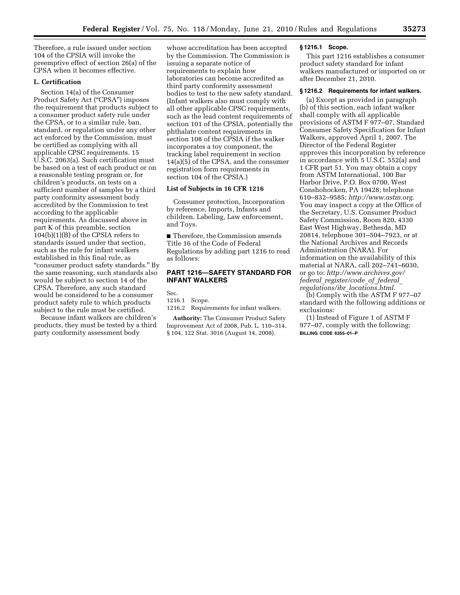Therefore, a rule issued under section 104 of the CPSIA will invoke the preemptive effect of section 26(a) of the CPSA when it becomes effective.

# **L. Certification**

Section 14(a) of the Consumer Product Safety Act ("CPSA") imposes the requirement that products subject to a consumer product safety rule under the CPSA, or to a similar rule, ban, standard, or regulation under any other act enforced by the Commission, must be certified as complying with all applicable CPSC requirements. 15 U.S.C. 2063(a). Such certification must be based on a test of each product or on a reasonable testing program or, for children's products, on tests on a sufficient number of samples by a third party conformity assessment body accredited by the Commission to test according to the applicable requirements. As discussed above in part K of this preamble, section 104(b)(1)(B) of the CPSIA refers to standards issued under that section, such as the rule for infant walkers established in this final rule, as ''consumer product safety standards.'' By the same reasoning, such standards also would be subject to section 14 of the CPSA. Therefore, any such standard would be considered to be a consumer product safety rule to which products subject to the rule must be certified.

Because infant walkers are children's products, they must be tested by a third party conformity assessment body

whose accreditation has been accepted by the Commission. The Commission is issuing a separate notice of requirements to explain how laboratories can become accredited as third party conformity assessment bodies to test to the new safety standard. (Infant walkers also must comply with all other applicable CPSC requirements, such as the lead content requirements of section 101 of the CPSIA, potentially the phthalate content requirements in section 108 of the CPSIA if the walker incorporates a toy component, the tracking label requirement in section 14(a)(5) of the CPSA, and the consumer registration form requirements in section 104 of the CPSIA.)

# **List of Subjects in 16 CFR 1216**

Consumer protection, Incorporation by reference, Imports, Infants and children, Labeling, Law enforcement, and Toys.

■ Therefore, the Commission amends Title 16 of the Code of Federal Regulations by adding part 1216 to read as follows:

# **PART 1216—SAFETY STANDARD FOR INFANT WALKERS**

Sec.

1216.1 Scope.

1216.2 Requirements for infant walkers.

**Authority:** The Consumer Product Safety Improvement Act of 2008, Pub. L. 110–314, § 104, 122 Stat. 3016 (August 14, 2008).

# **§ 1216.1 Scope.**

This part 1216 establishes a consumer product safety standard for infant walkers manufactured or imported on or after December 21, 2010.

# **§ 1216.2 Requirements for infant walkers.**

(a) Except as provided in paragraph (b) of this section, each infant walker shall comply with all applicable provisions of ASTM F 977–07, Standard Consumer Safety Specification for Infant Walkers, approved April 1, 2007. The Director of the Federal Register approves this incorporation by reference in accordance with 5 U.S.C. 552(a) and 1 CFR part 51. You may obtain a copy from ASTM International, 100 Bar Harbor Drive, P.O. Box 0700, West Conshohocken, PA 19428; telephone 610–832–9585; *http://www.astm.org*. You may inspect a copy at the Office of the Secretary, U.S. Consumer Product Safety Commission, Room 820, 4330 East West Highway, Bethesda, MD 20814, telephone 301–504–7923, or at the National Archives and Records Administration (NARA). For information on the availability of this material at NARA, call 202–741–6030, or go to: *http://www.archives.gov/ federal*\_*register/code*\_*of*\_*federal*\_ *regulations/ibr*\_*locations.html*.

(b) Comply with the ASTM F 977–07 standard with the following additions or exclusions:

(1) Instead of Figure 1 of ASTM F 977–07, comply with the following: **BILLING CODE 6355–01–P**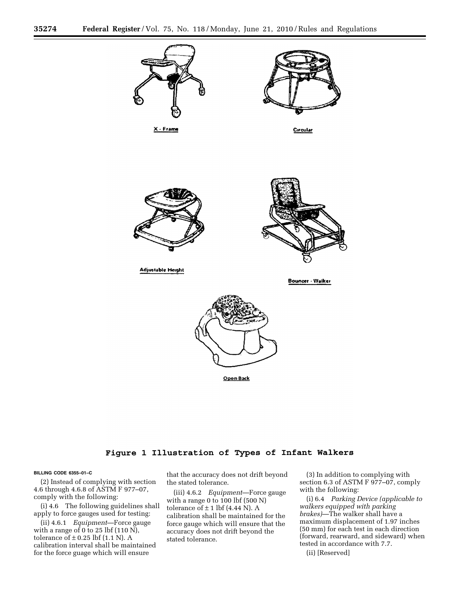

Open Back

# Figure 1 Illustration of Types of Infant Walkers

#### **BILLING CODE 6355–01–C**

(2) Instead of complying with section 4.6 through 4.6.8 of ASTM F 977–07, comply with the following:

(i) 4.6 The following guidelines shall apply to force gauges used for testing:

(ii) 4.6.1 *Equipment*—Force gauge with a range of 0 to 25 lbf  $(110 \text{ N})$ , tolerance of  $\pm$  0.25 lbf (1.1 N). A calibration interval shall be maintained for the force guage which will ensure

that the accuracy does not drift beyond the stated tolerance.

(iii) 4.6.2 *Equipment*—Force gauge with a range 0 to 100 lbf (500 N) tolerance of  $\pm$  1 lbf (4.44 N). A calibration shall be maintained for the force gauge which will ensure that the accuracy does not drift beyond the stated tolerance.

(3) In addition to complying with section 6.3 of ASTM F 977–07, comply with the following:

(i) 6.4 *Parking Device (applicable to walkers equipped with parking brakes)*—The walker shall have a maximum displacement of 1.97 inches (50 mm) for each test in each direction (forward, rearward, and sideward) when tested in accordance with 7.7.

(ii) [Reserved]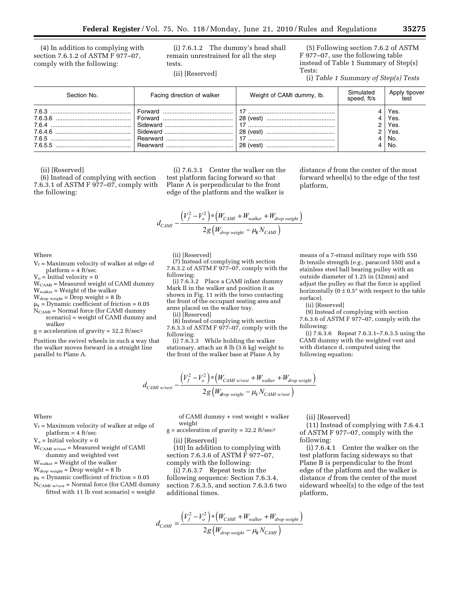(4) In addition to complying with section 7.6.1.2 of ASTM F 977–07, comply with the following:

(i) 7.6.1.2 The dummy's head shall remain unrestrained for all the step tests.

(ii) [Reserved]

(5) Following section 7.6.2 of ASTM F 977–07, use the following table instead of Table 1 Summary of Step(s) Tests:

(i) *Table 1 Summary of Step(s) Tests* 

| Section No. | Facing direction of walker | Weight of CAMI dummy, lb.                 | Simulated<br>speed, ft/s | Apply tipover<br>test                      |
|-------------|----------------------------|-------------------------------------------|--------------------------|--------------------------------------------|
|             |                            | 28 (vest)<br>28 (vest)<br>17<br>28 (vest) |                          | Yes.<br>Yes.<br>Yes.<br>Yes.<br>No.<br>No. |

(ii) [Reserved]

(6) Instead of complying with section 7.6.3.1 of ASTM F 977–07, comply with the following:

(i) 7.6.3.1 Center the walker on the test platform facing forward so that Plane A is perpendicular to the front edge of the platform and the walker is

distance *d* from the center of the most forward wheel(s) to the edge of the test platform,

means of a 7-strand military rope with 550 lb tensile strength (*e.g.,* paracord 550) and a stainless steel ball bearing pulley with an outside diameter of 1.25 in (32mm) and adjust the pulley so that the force is applied horizontally  $(0 \pm 0.5^{\circ}$  with respect to the table

(9) Instead of complying with section 7.6.3.6 of ASTM F 977–07, comply with the

(i) 7.6.3.6 Repeat 7.6.3.1–7.6.3.5 using the CAMI dummy with the weighted vest and with distance d, computed using the

$$
d_{CAM} - \frac{\left(V_f^2 - V_o^2\right) * \left(W_{CAM} + W_{waker} + W_{drop\ weight}\right)}{2g\left(W_{drop\ weight} - \mu_k N_{CAM}\right)}
$$

 $V_f$  = Maximum velocity of walker at edge of platform = 4 ft/sec

 $V_o$  = Initial velocity = 0

Where

 $W_{\text{CAMI}} = \text{Measured}$  weight of CAMI dummy

Wwalker = Weight of the walker

 $W_{drop\ weight} = Drop\ weight = 8 lb$ 

 $\mu_k$  = Dynamic coefficient of friction = 0.05

N<sub>CAMI</sub> = Normal force (for CAMI dummy scenario) = weight of CAMI dummy and walker

 $g =$  acceleration of gravity = 32.2 ft/sec<sup>2</sup>

Position the swivel wheels in such a way that the walker moves forward in a straight line parallel to Plane A.

(ii) [Reserved]

(7) Instead of complying with section 7.6.3.2 of ASTM F 977–07, comply with the following:

(i) 7.6.3.2 Place a CAMI infant dummy Mark II in the walker and position it as shown in Fig. 11 with the torso contacting the front of the occupant seating area and arms placed on the walker tray.

(ii) [Reserved]

weight

(ii) [Reserved]

additional times.

(8) Instead of complying with section 7.6.3.3 of ASTM  $\overline{F}$  977–07, comply with the following:

(i) 7.6.3.3 While holding the walker stationary, attach an 8 lb (3.6 kg) weight to the front of the walker base at Plane A by

$$
d_{CAMI\;w/vest} - \frac{\left(V_f^2 - V_o^2\right) * \left(W_{CAMI\;w/vest} + W_{walker} + W_{drop\;weight}\right)}{2g\left(W_{drop\;weight} - \mu_k N_{CAMI\;w/vest}\right)}
$$

 $g = acceleration of gravity = 32.2 ft/sec<sup>2</sup>$ 

(10) In addition to complying with section 7.6.3.6 of ASTM F 977–07, comply with the following: (i) 7.6.3.7 Repeat tests in the following sequence: Section 7.6.3.4, section 7.6.3.5, and section 7.6.3.6 two

of CAMI dummy + vest weight + walker (ii) [Reserved]

surface).

following:

(ii) [Reserved]

following equation:

(11) Instead of complying with 7.6.4.1 of ASTM F 977–07, comply with the following:

(i) 7.6.4.1 Center the walker on the test platform facing sideways so that Plane B is perpendicular to the front edge of the platform and the walker is distance *d* from the center of the most sideward wheel(s) to the edge of the test platform,

Where

 $V_f$  = Maximum velocity of walker at edge of platform = 4 ft/sec

 $V_0$  = Initial velocity = 0

- WCAMI w/vest = Measured weight of CAMI
- dummy and weighted vest
- $W_{\text{walker}} = \text{Weight of the walker}$
- $W_{drop weight} = Drop weight = 8 lb$

 $\mu_k$  = Dynamic coefficient of friction = 0.05

 $N_{CAMI\ w/vest}$  = Normal force (for CAMI dummy fitted with 11 lb vest scenario) = weight

> *d*  $V_f^2 - V_o^2$   $*(W_{CAM} + W_{walker} + W_o^2)$  $c_{AMI}$  –  $\frac{Qg(W)}{2g(W)}$  $f^{\prime \prime}$   $f^{\prime \prime}$  ( $\prime \prime$  CAMI  $\pm \prime \prime \prime$  walker  $\pm \prime \prime \prime$  drop weight *drop weight*  $=\frac{(V_f^2-V_o^2)*(W_{CAMI}+W_{walker}+W_{drop\ weight})}{(W_{CAMI}+W_{walker}+W_{drop\ weight})}$ − 2  $\frac{1}{2}$  $2 g \left( W_{drop\ weight} - \mu_k N_{CAM} \right)$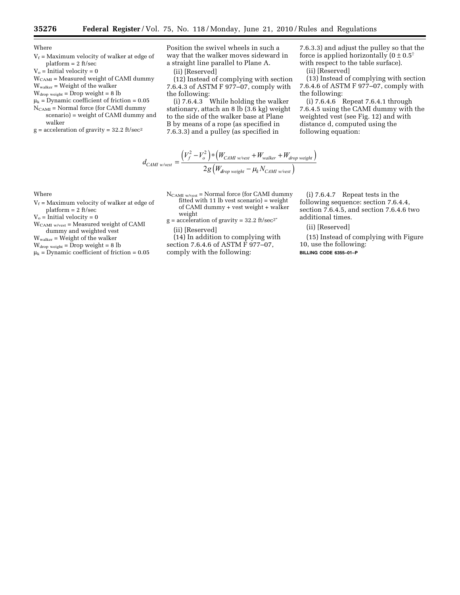Where

- $V_f$  = Maximum velocity of walker at edge of platform = 2 ft/sec
- $V<sub>o</sub>$  = Initial velocity = 0

WCAMI = Measured weight of CAMI dummy

- Wwalker = Weight of the walker
- $W_{drop weight} = Drop weight = 8 lb$
- $\mu_k$  = Dynamic coefficient of friction = 0.05
- $N_{\rm CAMI}$  = Normal force (for CAMI dummy scenario) = weight of CAMI dummy and walker
- $g =$  acceleration of gravity = 32.2 ft/sec<sup>2</sup>

Position the swivel wheels in such a way that the walker moves sideward in a straight line parallel to Plane A. (ii) [Reserved]

(12) Instead of complying with section 7.6.4.3 of ASTM F 977–07, comply with

the following: (i) 7.6.4.3 While holding the walker stationary, attach an 8 lb (3.6 kg) weight to the side of the walker base at Plane B by means of a rope (as specified in 7.6.3.3) and a pulley (as specified in

7.6.3.3) and adjust the pulley so that the force is applied horizontally  $(0 \pm 0.5^\circ)$ with respect to the table surface).

(ii) [Reserved]

(13) Instead of complying with section 7.6.4.6 of ASTM F 977–07, comply with the following:

(i) 7.6.4.6 Repeat 7.6.4.1 through 7.6.4.5 using the CAMI dummy with the weighted vest (see Fig. 12) and with distance d, computed using the following equation:

$$
d_{CAMI\;w/vest} = \frac{\left(V_f^2 - V_o^2\right) * \left(W_{CAMI\;w/vest} + W_{walker} + W_{drop\;weight}\right)}{2g\left(W_{drop\;weight} - \mu_k N_{CAMI\;w/vest}\right)}
$$

Where

- $V_f$  = Maximum velocity of walker at edge of platform = 2 ft/sec
- 
- $V_o$  = Initial velocity = 0 WCAMI w/vest = Measured weight of CAMI
- dummy and weighted vest
- Wwalker = Weight of the walker
- $W_{drop weight} = Drop weight = 8 lb$
- $\mu_k$  = Dynamic coefficient of friction = 0.05
- NCAMI w/vest = Normal force (for CAMI dummy fitted with 11 lb vest scenario) = weight of CAMI dummy + vest weight + walker weight
- $g = acceleration of gravity = 32.2 ft/sec<sup>2</sup>$ (ii) [Reserved]
	-

(14) In addition to complying with section 7.6.4.6 of ASTM  $\tilde{F}$  977-07, comply with the following:

(i) 7.6.4.7 Repeat tests in the following sequence: section 7.6.4.4, section 7.6.4.5, and section 7.6.4.6 two additional times.

#### (ii) [Reserved]

(15) Instead of complying with Figure 10, use the following: **BILLING CODE 6355–01–P**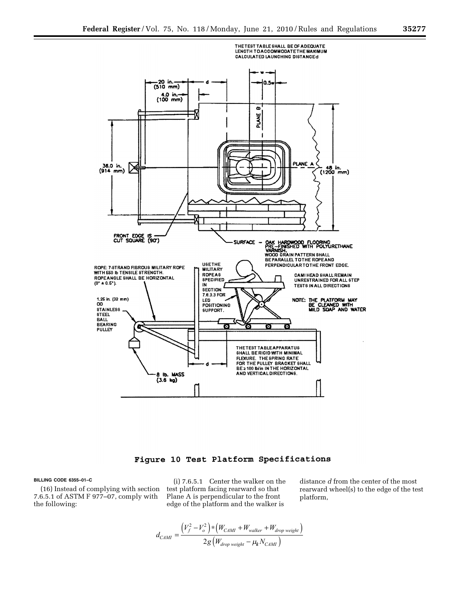

# Figure 10 Test Platform Specifications

# **BILLING CODE 6355–01–C**

(16) Instead of complying with section 7.6.5.1 of ASTM F 977–07, comply with the following:

(i) 7.6.5.1 Center the walker on the test platform facing rearward so that Plane A is perpendicular to the front edge of the platform and the walker is

distance *d* from the center of the most rearward wheel(s) to the edge of the test platform,

$$
d_{CAMI} = \frac{\left(V_f^2 - V_o^2\right) * \left(W_{CAMI} + W_{walker} + W_{drop\ weight}\right)}{2g\left(W_{drop\ weight} - \mu_k N_{CAMI}\right)}
$$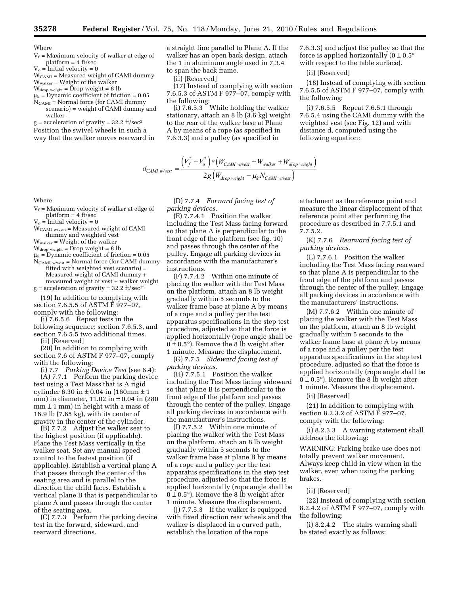**Where** 

- $V_f$  = Maximum velocity of walker at edge of platform = 4 ft/sec
- $V_o =$ Initial velocity = 0  $W_{CAMI}$  = Measured weight of CAMI dummy
- Wwalker = Weight of the walker
- $W_{drop weight} = \text{Drop weight} = 8 \text{ lb}$
- $\mu_k$  = Dynamic coefficient of friction = 0.05
- $N_{CAMI}$  = Normal force (for CAMI dummy scenario) = weight of CAMI dummy and walker

 $g =$  acceleration of gravity = 32.2 ft/sec<sup>2</sup> Position the swivel wheels in such a way that the walker moves rearward in a straight line parallel to Plane A. If the walker has an open back design, attach the 1 in aluminum angle used in 7.3.4 to span the back frame.

(ii) [Reserved]

(17) Instead of complying with section 7.6.5.3 of ASTM F 977–07, comply with the following:

(i) 7.6.5.3 While holding the walker stationary, attach an 8 lb (3.6 kg) weight to the rear of the walker base at Plane A by means of a rope (as specified in 7.6.3.3) and a pulley (as specified in

$$
d_{CAMI\;w/vest} = \frac{(V_f^2 - V_o^2) * (W_{CAMI\;w/vest} + W_{walker} + W_{drop\;weight})}{2g(W_{drop\;weight} - \mu_k N_{CAMI\;w/vest})}
$$

(D) 7.7.4 *Forward facing test of parking devices.* 

(E) 7.7.4.1 Position the walker including the Test Mass facing forward so that plane A is perpendicular to the front edge of the platform (see fig. 10) and passes through the center of the pulley. Engage all parking devices in accordance with the manufacturer's instructions.

(F) 7.7.4.2 Within one minute of placing the walker with the Test Mass on the platform, attach an 8 lb weight gradually within 5 seconds to the walker frame base at plane A by means of a rope and a pulley per the test apparatus specifications in the step test procedure, adjusted so that the force is applied horizontally (rope angle shall be  $0 \pm 0.5^{\circ}$ ). Remove the 8 lb weight after 1 minute. Measure the displacement.

(G) 7.7.5 *Sideward facing test of parking devices.* 

(H) 7.7.5.1 Position the walker including the Test Mass facing sideward so that plane B is perpendicular to the front edge of the platform and passes through the center of the pulley. Engage all parking devices in accordance with the manufacturer's instructions.

(I) 7.7.5.2 Within one minute of placing the walker with the Test Mass on the platform, attach an 8 lb weight gradually within 5 seconds to the walker frame base at plane B by means of a rope and a pulley per the test apparatus specifications in the step test procedure, adjusted so that the force is applied horizontally (rope angle shall be  $0 \pm 0.5^{\circ}$ ). Remove the 8 lb weight after 1 minute. Measure the displacement.

(J) 7.7.5.3 If the walker is equipped with fixed direction rear wheels and the walker is displaced in a curved path, establish the location of the rope

7.6.3.3) and adjust the pulley so that the force is applied horizontally  $(0 \pm 0.5^{\circ})$ with respect to the table surface).

(ii) [Reserved]

(18) Instead of complying with section 7.6.5.5 of ASTM F 977–07, comply with the following:

(i) 7.6.5.5 Repeat 7.6.5.1 through 7.6.5.4 using the CAMI dummy with the weighted vest (see Fig. 12) and with distance d, computed using the following equation:

Where

 $V_f$  = Maximum velocity of walker at edge of platform = 4 ft/sec

 $V_o = Inital velocity = 0$ 

- WCAMI w/vest = Measured weight of CAMI dummy and weighted vest
- $W_{\text{walker}} = \text{Weight of the walker}$
- $W_{drop weight} = \overset{\sim}{D}$ rop weight = 8 lb
- $\mu_k$  = Dynamic coefficient of friction = 0.05  $N_{\text{CAMI} \text{ w/vest}}$  = Normal force (for CAMI dummy fitted with weighted vest scenario) =
- Measured weight of CAMI dummy + measured weight of vest + walker weight

 $g =$  acceleration of gravity = 32.2 ft/sec<sup>2 $\degree$ </sup>

(19) In addition to complying with section 7.6.5.5 of ASTM F 977–07, comply with the following:

 $(i)$  7.6.5.6 Repeat tests in the following sequence: section 7.6.5.3, and section 7.6.5.5 two additional times.

(ii) [Reserved]

(20) In addition to complying with section 7.6 of ASTM F 977-07, comply with the following:

(i) 7.7 *Parking Device Test* (see 6.4): (A) 7.7.1 Perform the parking device test using a Test Mass that is A rigid cylinder 6.30 in  $\pm$  0.04 in (160mm  $\pm$  1 mm) in diameter,  $11.02$  in  $\pm 0.04$  in (280)  $mm \pm 1$  mm) in height with a mass of 16.9 lb (7.65 kg), with its center of gravity in the center of the cylinder.

(B) 7.7.2 Adjust the walker seat to the highest position (if applicable). Place the Test Mass vertically in the walker seat. Set any manual speed control to the fastest position (if applicable). Establish a vertical plane A that passes through the center of the seating area and is parallel to the direction the child faces. Establish a vertical plane B that is perpendicular to plane A and passes through the center of the seating area.

(C) 7.7.3 Perform the parking device test in the forward, sideward, and rearward directions.

attachment as the reference point and measure the linear displacement of that reference point after performing the procedure as described in 7.7.5.1 and 7.7.5.2.

(K) 7.7.6 *Rearward facing test of parking devices.* 

(L) 7.7.6.1 Position the walker including the Test Mass facing rearward so that plane A is perpendicular to the front edge of the platform and passes through the center of the pulley. Engage all parking devices in accordance with the manufacturers' instructions.

(M) 7.7.6.2 Within one minute of placing the walker with the Test Mass on the platform, attach an 8 lb weight gradually within 5 seconds to the walker frame base at plane A by means of a rope and a pulley per the test apparatus specifications in the step test procedure, adjusted so that the force is applied horizontally (rope angle shall be  $0 \pm 0.5^{\circ}$ ). Remove the 8 lb weight after 1 minute. Measure the displacement.

(ii) [Reserved]

(21) In addition to complying with section 8.2.3.2 of ASTM  $\bar{F}$  977–07, comply with the following:

(i) 8.2.3.3 A warning statement shall address the following:

WARNING: Parking brake use does not totally prevent walker movement. Always keep child in view when in the walker, even when using the parking brakes.

(ii) [Reserved]

(22) Instead of complying with section 8.2.4.2 of ASTM F 977–07, comply with the following:

(i) 8.2.4.2 The stairs warning shall be stated exactly as follows: